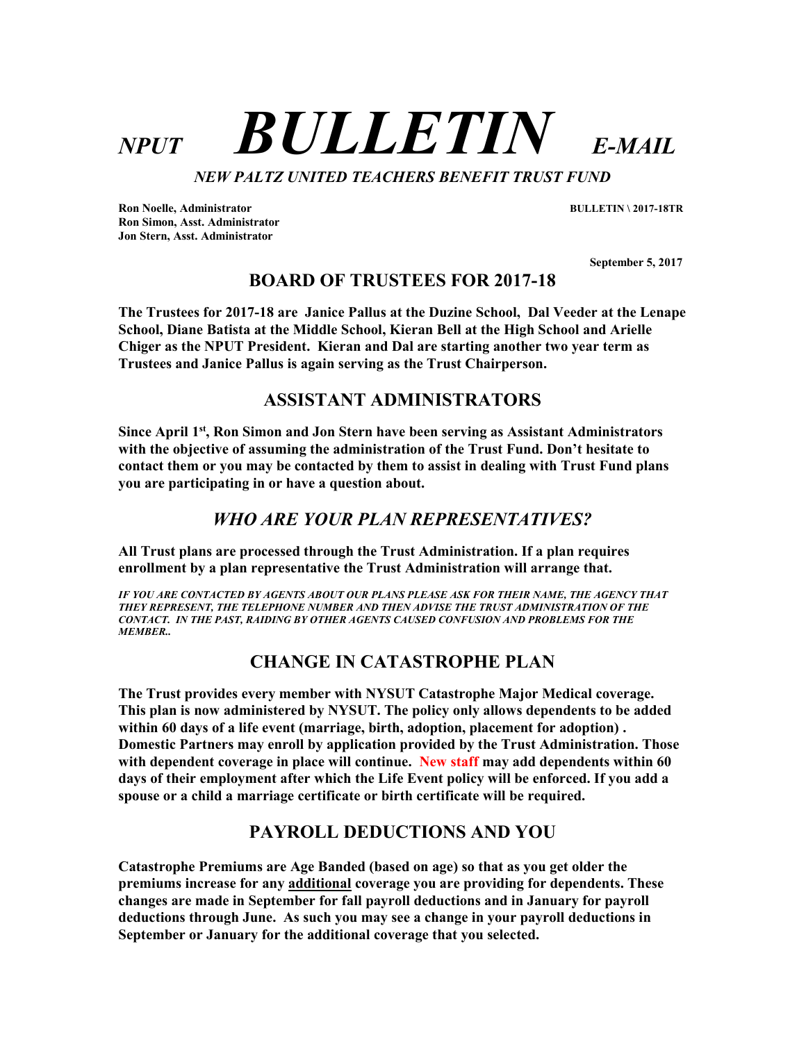# $NPUT$  **BULLETIN** E-MAIL

NEW PALTZ UNITED TEACHERS BENEFIT TRUST FUND

Ron Noelle, Administrator BULLETIN \ 2017-18TR Ron Simon, Asst. Administrator Jon Stern, Asst. Administrator

September 5, 2017

# BOARD OF TRUSTEES FOR 2017-18

The Trustees for 2017-18 are Janice Pallus at the Duzine School, Dal Veeder at the Lenape School, Diane Batista at the Middle School, Kieran Bell at the High School and Arielle Chiger as the NPUT President. Kieran and Dal are starting another two year term as Trustees and Janice Pallus is again serving as the Trust Chairperson.

# ASSISTANT ADMINISTRATORS

Since April 1<sup>st</sup>, Ron Simon and Jon Stern have been serving as Assistant Administrators with the objective of assuming the administration of the Trust Fund. Don't hesitate to contact them or you may be contacted by them to assist in dealing with Trust Fund plans you are participating in or have a question about.

# WHO ARE YOUR PLAN REPRESENTATIVES?

All Trust plans are processed through the Trust Administration. If a plan requires enrollment by a plan representative the Trust Administration will arrange that.

IF YOU ARE CONTACTED BY AGENTS ABOUT OUR PLANS PLEASE ASK FOR THEIR NAME, THE AGENCY THAT THEY REPRESENT, THE TELEPHONE NUMBER AND THEN ADVISE THE TRUST ADMINISTRATION OF THE CONTACT. IN THE PAST, RAIDING BY OTHER AGENTS CAUSED CONFUSION AND PROBLEMS FOR THE MEMBER..

# CHANGE IN CATASTROPHE PLAN

The Trust provides every member with NYSUT Catastrophe Major Medical coverage. This plan is now administered by NYSUT. The policy only allows dependents to be added within 60 days of a life event (marriage, birth, adoption, placement for adoption) . Domestic Partners may enroll by application provided by the Trust Administration. Those with dependent coverage in place will continue. New staff may add dependents within 60 days of their employment after which the Life Event policy will be enforced. If you add a spouse or a child a marriage certificate or birth certificate will be required.

# PAYROLL DEDUCTIONS AND YOU

Catastrophe Premiums are Age Banded (based on age) so that as you get older the premiums increase for any additional coverage you are providing for dependents. These changes are made in September for fall payroll deductions and in January for payroll deductions through June. As such you may see a change in your payroll deductions in September or January for the additional coverage that you selected.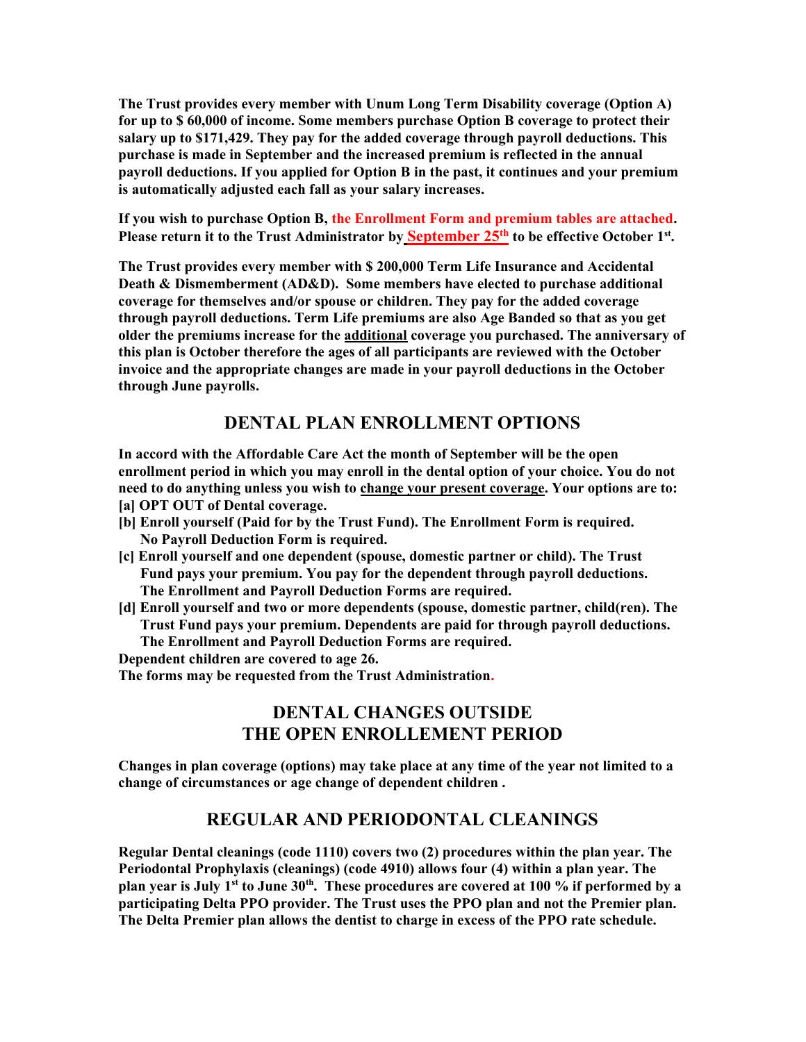The Trust provides every member with Unum Long Term Disability coverage (Option A) for up to \$ 60,000 of income. Some members purchase Option B coverage to protect their salary up to \$171,429. They pay for the added coverage through payroll deductions. This purchase is made in September and the increased premium is reflected in the annual payroll deductions. If you applied for Option B in the past, it continues and your premium is automatically adjusted each fall as your salary increases.

If you wish to purchase Option B, the Enrollment Form and premium tables are attached. Please return it to the Trust Administrator by **September 25<sup>th</sup>** to be effective October 1<sup>st</sup>.

The Trust provides every member with \$ 200,000 Term Life Insurance and Accidental Death & Dismemberment (AD&D). Some members have elected to purchase additional coverage for themselves and/or spouse or children. They pay for the added coverage through payroll deductions. Term Life premiums are also Age Banded so that as you get older the premiums increase for the additional coverage you purchased. The anniversary of this plan is October therefore the ages of all participants are reviewed with the October invoice and the appropriate changes are made in your payroll deductions in the October through June payrolls.

#### DENTAL PLAN ENROLLMENT OPTIONS

In accord with the Affordable Care Act the month of September will be the open enrollment period in which you may enroll in the dental option of your choice. You do not need to do anything unless you wish to change your present coverage. Your options are to: [a] OPT OUT of Dental coverage.

- [b] Enroll yourself (Paid for by the Trust Fund). The Enrollment Form is required. No Payroll Deduction Form is required.
- [c] Enroll yourself and one dependent (spouse, domestic partner or child). The Trust Fund pays your premium. You pay for the dependent through payroll deductions. The Enrollment and Payroll Deduction Forms are required.
- [d] Enroll yourself and two or more dependents (spouse, domestic partner, child(ren). The Trust Fund pays your premium. Dependents are paid for through payroll deductions. The Enrollment and Payroll Deduction Forms are required.

Dependent children are covered to age 26.

The forms may be requested from the Trust Administration.

# DENTAL CHANGES OUTSIDE THE OPEN ENROLLEMENT PERIOD

Changes in plan coverage (options) may take place at any time of the year not limited to a change of circumstances or age change of dependent children .

#### REGULAR AND PERIODONTAL CLEANINGS

Regular Dental cleanings (code 1110) covers two (2) procedures within the plan year. The Periodontal Prophylaxis (cleanings) (code 4910) allows four (4) within a plan year. The plan year is July 1<sup>st</sup> to June 30<sup>th</sup>. These procedures are covered at 100 % if performed by a participating Delta PPO provider. The Trust uses the PPO plan and not the Premier plan. The Delta Premier plan allows the dentist to charge in excess of the PPO rate schedule.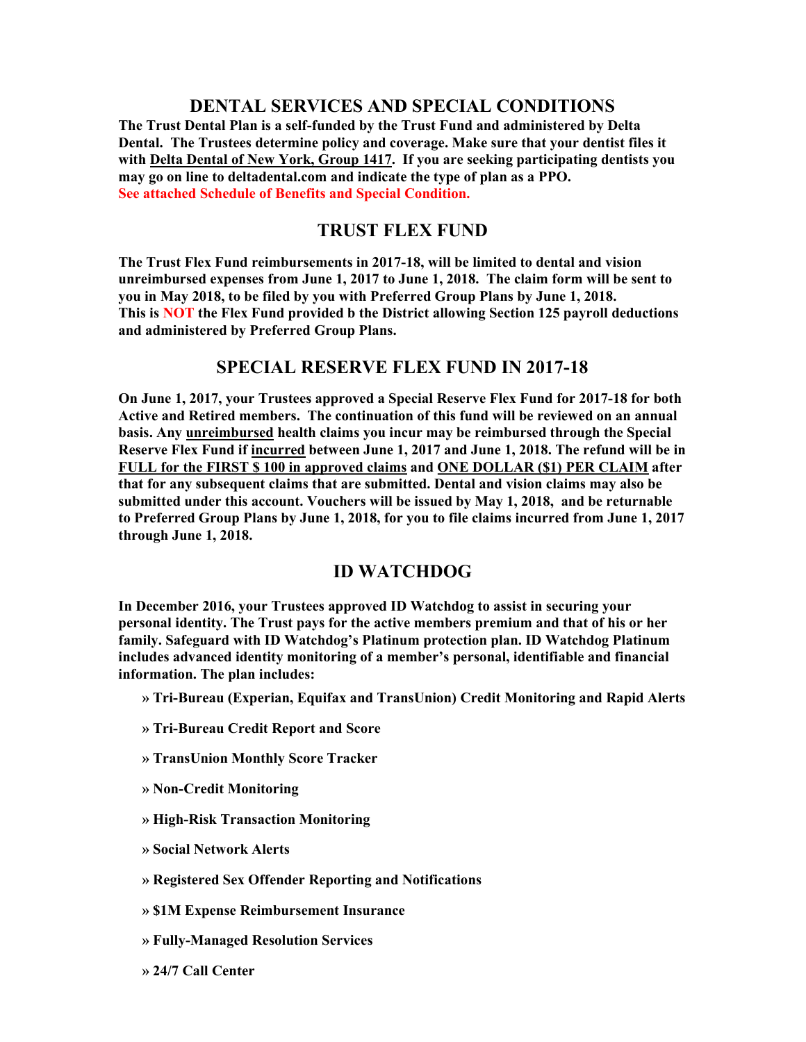#### DENTAL SERVICES AND SPECIAL CONDITIONS

The Trust Dental Plan is a self-funded by the Trust Fund and administered by Delta Dental. The Trustees determine policy and coverage. Make sure that your dentist files it with Delta Dental of New York, Group 1417. If you are seeking participating dentists you may go on line to deltadental.com and indicate the type of plan as a PPO. See attached Schedule of Benefits and Special Condition.

#### TRUST FLEX FUND

The Trust Flex Fund reimbursements in 2017-18, will be limited to dental and vision unreimbursed expenses from June 1, 2017 to June 1, 2018. The claim form will be sent to you in May 2018, to be filed by you with Preferred Group Plans by June 1, 2018. This is **NOT** the Flex Fund provided b the District allowing Section 125 payroll deductions and administered by Preferred Group Plans.

#### SPECIAL RESERVE FLEX FUND IN 2017-18

On June 1, 2017, your Trustees approved a Special Reserve Flex Fund for 2017-18 for both Active and Retired members. The continuation of this fund will be reviewed on an annual basis. Any unreimbursed health claims you incur may be reimbursed through the Special Reserve Flex Fund if incurred between June 1, 2017 and June 1, 2018. The refund will be in FULL for the FIRST \$ 100 in approved claims and ONE DOLLAR (\$1) PER CLAIM after that for any subsequent claims that are submitted. Dental and vision claims may also be submitted under this account. Vouchers will be issued by May 1, 2018, and be returnable to Preferred Group Plans by June 1, 2018, for you to file claims incurred from June 1, 2017 through June 1, 2018.

#### ID WATCHDOG

In December 2016, your Trustees approved ID Watchdog to assist in securing your personal identity. The Trust pays for the active members premium and that of his or her family. Safeguard with ID Watchdog's Platinum protection plan. ID Watchdog Platinum includes advanced identity monitoring of a member's personal, identifiable and financial information. The plan includes:

- » Tri-Bureau (Experian, Equifax and TransUnion) Credit Monitoring and Rapid Alerts
- » Tri-Bureau Credit Report and Score
- » TransUnion Monthly Score Tracker
- » Non-Credit Monitoring
- » High-Risk Transaction Monitoring
- » Social Network Alerts
- » Registered Sex Offender Reporting and Notifications
- » \$1M Expense Reimbursement Insurance
- » Fully-Managed Resolution Services
- » 24/7 Call Center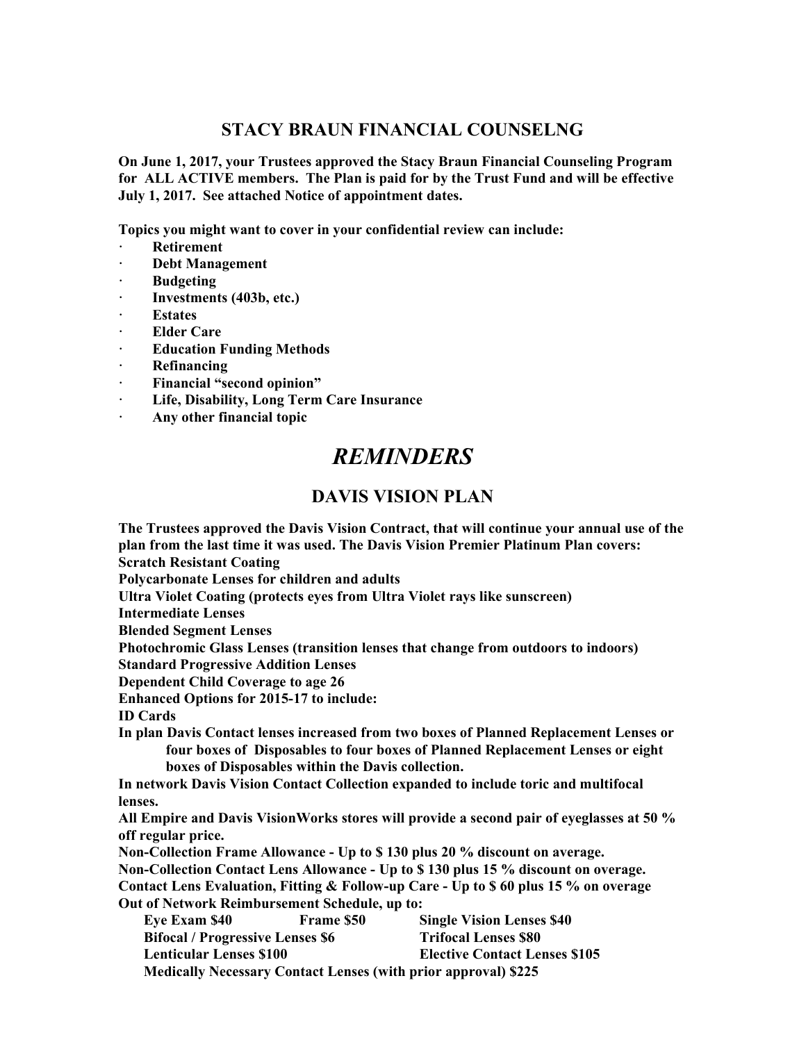#### STACY BRAUN FINANCIAL COUNSELNG

On June 1, 2017, your Trustees approved the Stacy Braun Financial Counseling Program for ALL ACTIVE members. The Plan is paid for by the Trust Fund and will be effective July 1, 2017. See attached Notice of appointment dates.

Topics you might want to cover in your confidential review can include:

- **Retirement**
- Debt Management
- **Budgeting**
- · Investments (403b, etc.)
- **Estates**
- **Elder Care**
- **Education Funding Methods**
- **Refinancing**
- Financial "second opinion"
- · Life, Disability, Long Term Care Insurance
- · Any other financial topic

# **REMINDERS**

#### DAVIS VISION PLAN

The Trustees approved the Davis Vision Contract, that will continue your annual use of the plan from the last time it was used. The Davis Vision Premier Platinum Plan covers: Scratch Resistant Coating Polycarbonate Lenses for children and adults Ultra Violet Coating (protects eyes from Ultra Violet rays like sunscreen) Intermediate Lenses Blended Segment Lenses Photochromic Glass Lenses (transition lenses that change from outdoors to indoors) Standard Progressive Addition Lenses Dependent Child Coverage to age 26 Enhanced Options for 2015-17 to include: ID Cards In plan Davis Contact lenses increased from two boxes of Planned Replacement Lenses or four boxes of Disposables to four boxes of Planned Replacement Lenses or eight boxes of Disposables within the Davis collection. In network Davis Vision Contact Collection expanded to include toric and multifocal lenses. All Empire and Davis VisionWorks stores will provide a second pair of eyeglasses at 50 % off regular price. Non-Collection Frame Allowance - Up to \$ 130 plus 20 % discount on average. Non-Collection Contact Lens Allowance - Up to \$ 130 plus 15 % discount on overage. Contact Lens Evaluation, Fitting & Follow-up Care - Up to \$ 60 plus 15 % on overage Out of Network Reimbursement Schedule, up to: Eye Exam \$40 Frame \$50 Single Vision Lenses \$40 Bifocal / Progressive Lenses \$6 Trifocal Lenses \$80 Lenticular Lenses \$100 Elective Contact Lenses \$105 Medically Necessary Contact Lenses (with prior approval) \$225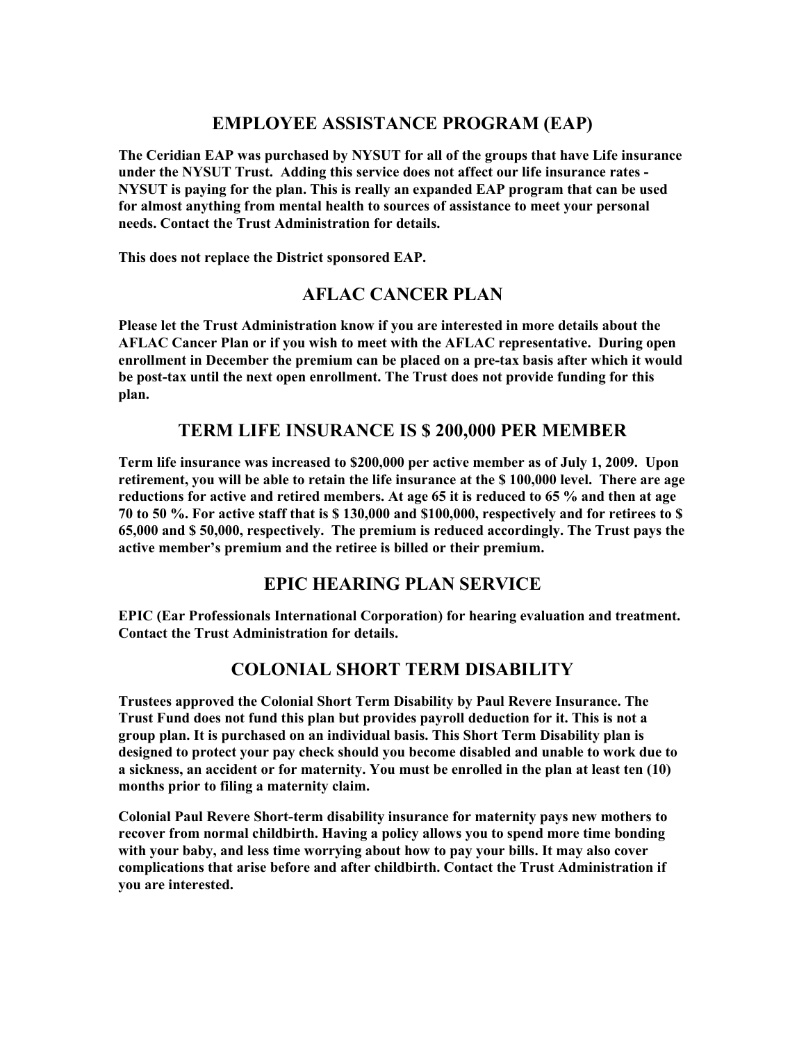#### EMPLOYEE ASSISTANCE PROGRAM (EAP)

The Ceridian EAP was purchased by NYSUT for all of the groups that have Life insurance under the NYSUT Trust. Adding this service does not affect our life insurance rates - NYSUT is paying for the plan. This is really an expanded EAP program that can be used for almost anything from mental health to sources of assistance to meet your personal needs. Contact the Trust Administration for details.

This does not replace the District sponsored EAP.

#### AFLAC CANCER PLAN

Please let the Trust Administration know if you are interested in more details about the AFLAC Cancer Plan or if you wish to meet with the AFLAC representative. During open enrollment in December the premium can be placed on a pre-tax basis after which it would be post-tax until the next open enrollment. The Trust does not provide funding for this plan.

#### TERM LIFE INSURANCE IS \$ 200,000 PER MEMBER

Term life insurance was increased to \$200,000 per active member as of July 1, 2009. Upon retirement, you will be able to retain the life insurance at the \$ 100,000 level. There are age reductions for active and retired members. At age 65 it is reduced to 65 % and then at age 70 to 50 %. For active staff that is \$ 130,000 and \$100,000, respectively and for retirees to \$ 65,000 and \$ 50,000, respectively. The premium is reduced accordingly. The Trust pays the active member's premium and the retiree is billed or their premium.

#### EPIC HEARING PLAN SERVICE

EPIC (Ear Professionals International Corporation) for hearing evaluation and treatment. Contact the Trust Administration for details.

#### COLONIAL SHORT TERM DISABILITY

Trustees approved the Colonial Short Term Disability by Paul Revere Insurance. The Trust Fund does not fund this plan but provides payroll deduction for it. This is not a group plan. It is purchased on an individual basis. This Short Term Disability plan is designed to protect your pay check should you become disabled and unable to work due to a sickness, an accident or for maternity. You must be enrolled in the plan at least ten (10) months prior to filing a maternity claim.

Colonial Paul Revere Short-term disability insurance for maternity pays new mothers to recover from normal childbirth. Having a policy allows you to spend more time bonding with your baby, and less time worrying about how to pay your bills. It may also cover complications that arise before and after childbirth. Contact the Trust Administration if you are interested.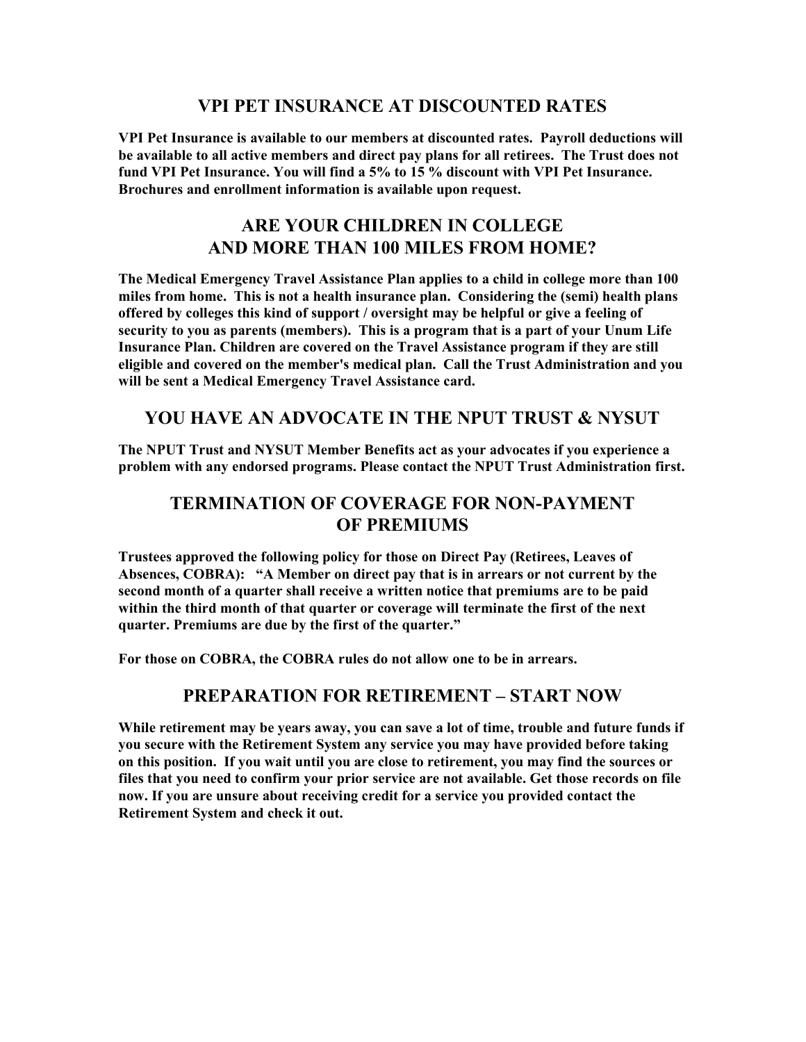#### VPI PET INSURANCE AT DISCOUNTED RATES

VPI Pet Insurance is available to our members at discounted rates. Payroll deductions will be available to all active members and direct pay plans for all retirees. The Trust does not fund VPI Pet Insurance. You will find a 5% to 15 % discount with VPI Pet Insurance. Brochures and enrollment information is available upon request.

# ARE YOUR CHILDREN IN COLLEGE AND MORE THAN 100 MILES FROM HOME?

The Medical Emergency Travel Assistance Plan applies to a child in college more than 100 miles from home. This is not a health insurance plan. Considering the (semi) health plans offered by colleges this kind of support / oversight may be helpful or give a feeling of security to you as parents (members). This is a program that is a part of your Unum Life Insurance Plan. Children are covered on the Travel Assistance program if they are still eligible and covered on the member's medical plan. Call the Trust Administration and you will be sent a Medical Emergency Travel Assistance card.

#### YOU HAVE AN ADVOCATE IN THE NPUT TRUST & NYSUT

The NPUT Trust and NYSUT Member Benefits act as your advocates if you experience a problem with any endorsed programs. Please contact the NPUT Trust Administration first.

# TERMINATION OF COVERAGE FOR NON-PAYMENT OF PREMIUMS

Trustees approved the following policy for those on Direct Pay (Retirees, Leaves of Absences, COBRA): "A Member on direct pay that is in arrears or not current by the second month of a quarter shall receive a written notice that premiums are to be paid within the third month of that quarter or coverage will terminate the first of the next quarter. Premiums are due by the first of the quarter."

For those on COBRA, the COBRA rules do not allow one to be in arrears.

#### PREPARATION FOR RETIREMENT – START NOW

While retirement may be years away, you can save a lot of time, trouble and future funds if you secure with the Retirement System any service you may have provided before taking on this position. If you wait until you are close to retirement, you may find the sources or files that you need to confirm your prior service are not available. Get those records on file now. If you are unsure about receiving credit for a service you provided contact the Retirement System and check it out.